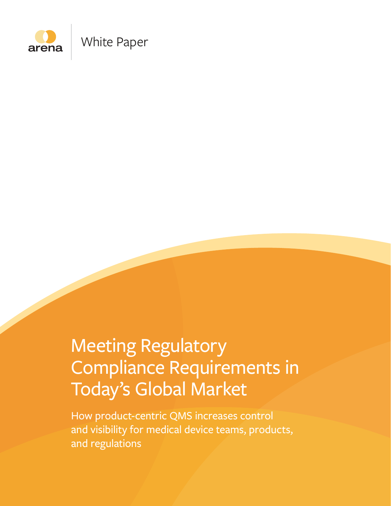

# Meeting Regulatory Compliance Requirements in Today's Global Market

How product-centric QMS increases control and visibility for medical device teams, products, and regulations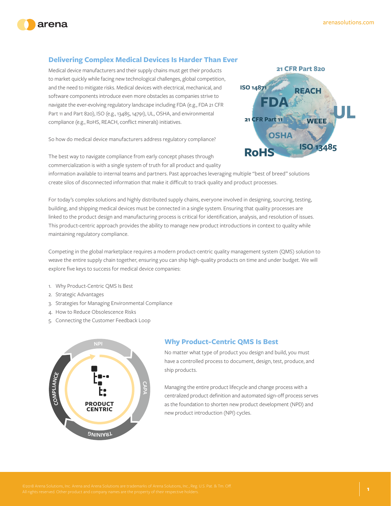



# **Delivering Complex Medical Devices Is Harder Than Ever**

Medical device manufacturers and their supply chains must get their products to market quickly while facing new technological challenges, global competition, and the need to mitigate risks. Medical devices with electrical, mechanical, and software components introduce even more obstacles as companies strive to navigate the ever-evolving regulatory landscape including FDA (e.g., FDA 21 CFR Part 11 and Part 820), ISO (e.g., 13485, 14791), UL, OSHA, and environmental compliance (e.g., RoHS, REACH, conflict minerals) initiatives.

So how do medical device manufacturers address regulatory compliance?



The best way to navigate compliance from early concept phases through commercialization is with a single system of truth for all product and quality

information available to internal teams and partners. Past approaches leveraging multiple "best of breed" solutions create silos of disconnected information that make it difficult to track quality and product processes.

For today's complex solutions and highly distributed supply chains, everyone involved in designing, sourcing, testing, building, and shipping medical devices must be connected in a single system. Ensuring that quality processes are linked to the product design and manufacturing process is critical for identification, analysis, and resolution of issues. This product-centric approach provides the ability to manage new product introductions in context to quality while maintaining regulatory compliance.

Competing in the global marketplace requires a modern product-centric quality management system (QMS) solution to weave the entire supply chain together, ensuring you can ship high-quality products on time and under budget. We will explore five keys to success for medical device companies:

- 1. Why Product-Centric QMS Is Best
- 2. Strategic Advantages
- 3. Strategies for Managing Environmental Compliance
- 4. How to Reduce Obsolescence Risks
- 5. Connecting the Customer Feedback Loop



## **Why Product-Centric QMS Is Best**

No matter what type of product you design and build, you must have a controlled process to document, design, test, produce, and ship products.

Managing the entire product lifecycle and change process with a centralized product definition and automated sign-off process serves as the foundation to shorten new product development (NPD) and new product introduction (NPI) cycles.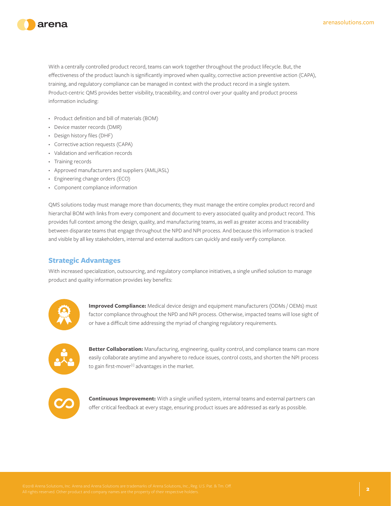

With a centrally controlled product record, teams can work together throughout the product lifecycle. But, the effectiveness of the product launch is significantly improved when quality, corrective action preventive action (CAPA), training, and regulatory compliance can be managed in context with the product record in a single system. Product-centric QMS provides better visibility, traceability, and control over your quality and product process information including:

- Product definition and bill of materials (BOM)
- Device master records (DMR)
- Design history files (DHF)
- Corrective action requests (CAPA)
- Validation and verification records
- Training records
- Approved manufacturers and suppliers (AML/ASL)
- Engineering change orders (ECO)
- Component compliance information

QMS solutions today must manage more than documents; they must manage the entire complex product record and hierarchal BOM with links from every component and document to every associated quality and product record. This provides full context among the design, quality, and manufacturing teams, as well as greater access and traceability between disparate teams that engage throughout the NPD and NPI process. And because this information is tracked and visible by all key stakeholders, internal and external auditors can quickly and easily verify compliance.

#### **Strategic Advantages**

With increased specialization, outsourcing, and regulatory compliance initiatives, a single unified solution to manage product and quality information provides key benefits:



**Improved Compliance:** Medical device design and equipment manufacturers (ODMs / OEMs) must factor compliance throughout the NPD and NPI process. Otherwise, impacted teams will lose sight of or have a difficult time addressing the myriad of changing regulatory requirements.



**Better Collaboration:** Manufacturing, engineering, quality control, and compliance teams can more easily collaborate anytime and anywhere to reduce issues, control costs, and shorten the NPI process to gain first-mover<sup>[1]</sup> advantages in the market.



**Continuous Improvement:** With a single unified system, internal teams and external partners can offer critical feedback at every stage, ensuring product issues are addressed as early as possible.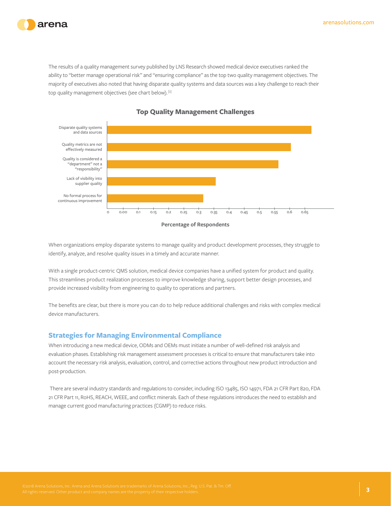

The results of a quality management survey published by LNS Research showed medical device executives ranked the ability to "better manage operational risk" and "ensuring compliance" as the top two quality management objectives. The majority of executives also noted that having disparate quality systems and data sources was a key challenge to reach their top quality management objectives (see chart below).[2]



#### **Top Quality Management Challenges**

**Percentage of Respondents**

When organizations employ disparate systems to manage quality and product development processes, they struggle to identify, analyze, and resolve quality issues in a timely and accurate manner.

With a single product-centric QMS solution, medical device companies have a unified system for product and quality. This streamlines product realization processes to improve knowledge sharing, support better design processes, and provide increased visibility from engineering to quality to operations and partners.

The benefits are clear, but there is more you can do to help reduce additional challenges and risks with complex medical device manufacturers.

#### **Strategies for Managing Environmental Compliance**

When introducing a new medical device, ODMs and OEMs must initiate a number of well-defined risk analysis and evaluation phases. Establishing risk management assessment processes is critical to ensure that manufacturers take into account the necessary risk analysis, evaluation, control, and corrective actions throughout new product introduction and post-production.

 There are several industry standards and regulations to consider, including ISO 13485, ISO 14971, FDA 21 CFR Part 820, FDA 21 CFR Part 11, RoHS, REACH, WEEE, and conflict minerals. Each of these regulations introduces the need to establish and manage current good manufacturing practices (CGMP) to reduce risks.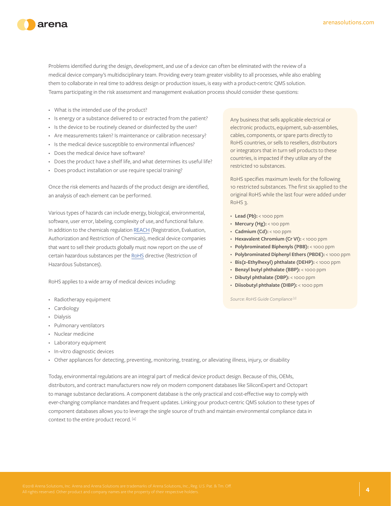



Problems identified during the design, development, and use of a device can often be eliminated with the review of a medical device company's multidisciplinary team. Providing every team greater visibility to all processes, while also enabling them to collaborate in real time to address design or production issues, is easy with a product-centric QMS solution. Teams participating in the risk assessment and management evaluation process should consider these questions:

- What is the intended use of the product?
- Is energy or a substance delivered to or extracted from the patient?
- Is the device to be routinely cleaned or disinfected by the user?
- Are measurements taken? Is maintenance or calibration necessary?
- Is the medical device susceptible to environmental influences?
- Does the medical device have software?
- Does the product have a shelf life, and what determines its useful life?
- Does product installation or use require special training?

Once the risk elements and hazards of the product design are identified, an analysis of each element can be performed.

Various types of hazards can include energy, biological, environmental, software, user error, labeling, complexity of use, and functional failure. In addition to the chemicals regulation REACH (Registration, Evaluation, Authorization and Restriction of Chemicals), medical device companies that want to sell their products globally must now report on the use of certain hazardous substances per the RoHS directive (Restriction of Hazardous Substances).

RoHS applies to a wide array of medical devices including:

- Radiotherapy equipment
- Cardiology
- Dialysis
- Pulmonary ventilators
- Nuclear medicine
- Laboratory equipment
- In-vitro diagnostic devices

• Other appliances for detecting, preventing, monitoring, treating, or alleviating illness, injury, or disability

Today, environmental regulations are an integral part of medical device product design. Because of this, OEMs, distributors, and contract manufacturers now rely on modern component databases like SiliconExpert and Octopart to manage substance declarations. A component database is the only practical and cost-effective way to comply with ever-changing compliance mandates and frequent updates. Linking your product-centric QMS solution to these types of component databases allows you to leverage the single source of truth and maintain environmental compliance data in context to the entire product record. [4]

Any business that sells applicable electrical or electronic products, equipment, sub-assemblies, cables, components, or spare parts directly to RoHS countries, or sells to resellers, distributors or integrators that in turn sell products to these countries, is impacted if they utilize any of the restricted 10 substances.

RoHS specifies maximum levels for the following 10 restricted substances. The first six applied to the original RoHS while the last four were added under RoHS 3.

- Lead (Pb): < 1000 ppm
- **Mercury (Hg):** < 100 ppm
- **Cadmium (Cd):** < 100 ppm
- **Hexavalent Chromium (Cr VI):** < 1000 ppm
- **Polybrominated Biphenyls (PBB):** < 1000 ppm
- **Polybrominated Diphenyl Ethers (PBDE):** < 1000 ppm
- **Bis(2-Ethylhexyl) phthalate (DEHP):** < 1000 ppm
- **Benzyl butyl phthalate (BBP):** < 1000 ppm
- **Dibutyl phthalate (DBP):** < 1000 ppm
- **Diisobutyl phthalate (DIBP):** < 1000 ppm

*Source: RoHS Guide Compliance [3]*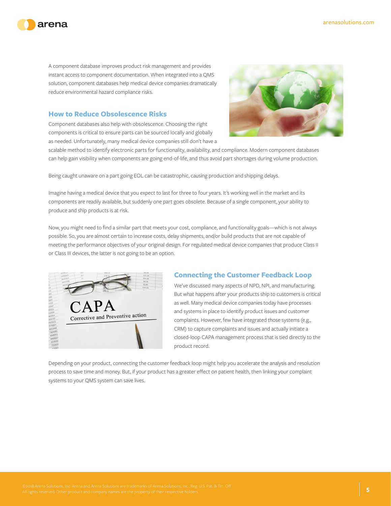



A component database improves product risk management and provides instant access to component documentation. When integrated into a QMS solution, component databases help medical device companies dramatically reduce environmental hazard compliance risks.

# **How to Reduce Obsolescence Risks**

Component databases also help with obsolescence. Choosing the right components is critical to ensure parts can be sourced locally and globally as needed. Unfortunately, many medical device companies still don't have a



scalable method to identify electronic parts for functionality, availability, and compliance. Modern component databases can help gain visibility when components are going end-of-life, and thus avoid part shortages during volume production.

Being caught unaware on a part going EOL can be catastrophic, causing production and shipping delays.

Imagine having a medical device that you expect to last for three to four years. It's working well in the market and its components are readily available, but suddenly one part goes obsolete. Because of a single component, your ability to produce and ship products is at risk.

Now, you might need to find a similar part that meets your cost, compliance, and functionality goals—which is not always possible. So, you are almost certain to increase costs, delay shipments, and/or build products that are not capable of meeting the performance objectives of your original design. For regulated medical device companies that produce Class II or Class III devices, the latter is not going to be an option.



## **Connecting the Customer Feedback Loop**

We've discussed many aspects of NPD, NPI, and manufacturing. But what happens after your products ship to customers is critical as well. Many medical device companies today have processes and systems in place to identify product issues and customer complaints. However, few have integrated those systems (e.g., CRM) to capture complaints and issues and actually initiate a closed-loop CAPA management process that is tied directly to the product record.

Depending on your product, connecting the customer feedback loop might help you accelerate the analysis and resolution process to save time and money. But, if your product has a greater effect on patient health, then linking your complaint systems to your QMS system can save lives.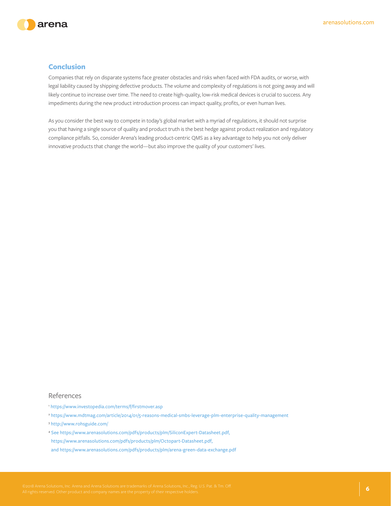



#### **Conclusion**

Companies that rely on disparate systems face greater obstacles and risks when faced with FDA audits, or worse, with legal liability caused by shipping defective products. The volume and complexity of regulations is not going away and will likely continue to increase over time. The need to create high-quality, low-risk medical devices is crucial to success. Any impediments during the new product introduction process can impact quality, profits, or even human lives.

As you consider the best way to compete in today's global market with a myriad of regulations, it should not surprise you that having a single source of quality and product truth is the best hedge against product realization and regulatory compliance pitfalls. So, consider Arena's leading product-centric QMS as a key advantage to help you not only deliver innovative products that change the world—but also improve the quality of your customers' lives.

#### References

- <sup>1</sup> https://www.investopedia.com/terms/f/firstmover.asp
- <sup>2</sup> https://www.mdtmag.com/article/2014/01/5-reasons-medical-smbs-leverage-plm-enterprise-quality-management
- <sup>3</sup> http://www.rohsguide.com/
- <sup>4</sup> See https://www.arenasolutions.com/pdfs/products/plm/SiliconExpert-Datasheet.pdf,
- https://www.arenasolutions.com/pdfs/products/plm/Octopart-Datasheet.pdf,
- and https://www.arenasolutions.com/pdfs/products/plm/arena-green-data-exchange.pdf